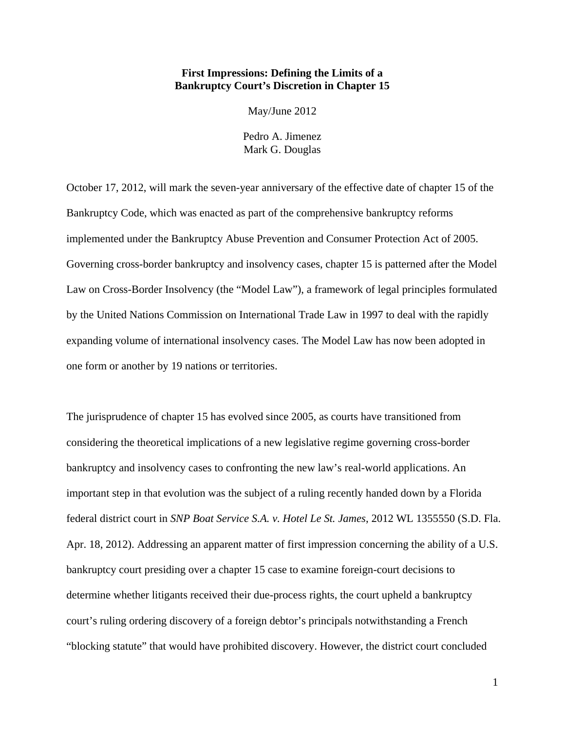# **First Impressions: Defining the Limits of a Bankruptcy Court's Discretion in Chapter 15**

May/June 2012

Pedro A. Jimenez Mark G. Douglas

October 17, 2012, will mark the seven-year anniversary of the effective date of chapter 15 of the Bankruptcy Code, which was enacted as part of the comprehensive bankruptcy reforms implemented under the Bankruptcy Abuse Prevention and Consumer Protection Act of 2005. Governing cross-border bankruptcy and insolvency cases, chapter 15 is patterned after the Model Law on Cross-Border Insolvency (the "Model Law"), a framework of legal principles formulated by the United Nations Commission on International Trade Law in 1997 to deal with the rapidly expanding volume of international insolvency cases. The Model Law has now been adopted in one form or another by 19 nations or territories.

The jurisprudence of chapter 15 has evolved since 2005, as courts have transitioned from considering the theoretical implications of a new legislative regime governing cross-border bankruptcy and insolvency cases to confronting the new law's real-world applications. An important step in that evolution was the subject of a ruling recently handed down by a Florida federal district court in *SNP Boat Service S.A. v. Hotel Le St. James*, 2012 WL 1355550 (S.D. Fla. Apr. 18, 2012). Addressing an apparent matter of first impression concerning the ability of a U.S. bankruptcy court presiding over a chapter 15 case to examine foreign-court decisions to determine whether litigants received their due-process rights, the court upheld a bankruptcy court's ruling ordering discovery of a foreign debtor's principals notwithstanding a French "blocking statute" that would have prohibited discovery. However, the district court concluded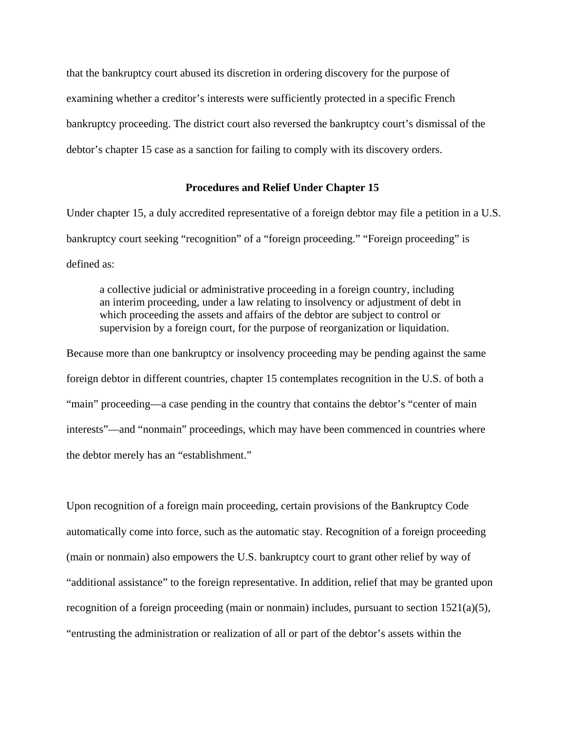that the bankruptcy court abused its discretion in ordering discovery for the purpose of examining whether a creditor's interests were sufficiently protected in a specific French bankruptcy proceeding. The district court also reversed the bankruptcy court's dismissal of the debtor's chapter 15 case as a sanction for failing to comply with its discovery orders.

## **Procedures and Relief Under Chapter 15**

Under chapter 15, a duly accredited representative of a foreign debtor may file a petition in a U.S. bankruptcy court seeking "recognition" of a "foreign proceeding." "Foreign proceeding" is defined as:

a collective judicial or administrative proceeding in a foreign country, including an interim proceeding, under a law relating to insolvency or adjustment of debt in which proceeding the assets and affairs of the debtor are subject to control or supervision by a foreign court, for the purpose of reorganization or liquidation.

Because more than one bankruptcy or insolvency proceeding may be pending against the same foreign debtor in different countries, chapter 15 contemplates recognition in the U.S. of both a "main" proceeding—a case pending in the country that contains the debtor's "center of main interests"—and "nonmain" proceedings, which may have been commenced in countries where the debtor merely has an "establishment."

Upon recognition of a foreign main proceeding, certain provisions of the Bankruptcy Code automatically come into force, such as the automatic stay. Recognition of a foreign proceeding (main or nonmain) also empowers the U.S. bankruptcy court to grant other relief by way of "additional assistance" to the foreign representative. In addition, relief that may be granted upon recognition of a foreign proceeding (main or nonmain) includes, pursuant to section  $1521(a)(5)$ , "entrusting the administration or realization of all or part of the debtor's assets within the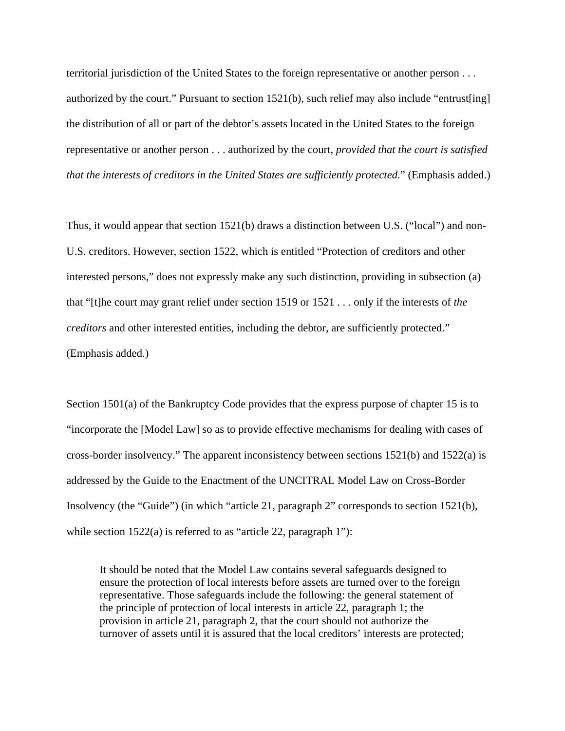territorial jurisdiction of the United States to the foreign representative or another person . . . authorized by the court." Pursuant to section  $1521(b)$ , such relief may also include "entrust [ing] the distribution of all or part of the debtor's assets located in the United States to the foreign representative or another person . . . authorized by the court, *provided that the court is satisfied that the interests of creditors in the United States are sufficiently protected*." (Emphasis added.)

Thus, it would appear that section 1521(b) draws a distinction between U.S. ("local") and non-U.S. creditors. However, section 1522, which is entitled "Protection of creditors and other interested persons," does not expressly make any such distinction, providing in subsection (a) that "[t]he court may grant relief under section 1519 or 1521 . . . only if the interests of *the creditors* and other interested entities, including the debtor, are sufficiently protected." (Emphasis added.)

Section 1501(a) of the Bankruptcy Code provides that the express purpose of chapter 15 is to "incorporate the [Model Law] so as to provide effective mechanisms for dealing with cases of cross-border insolvency." The apparent inconsistency between sections  $1521(b)$  and  $1522(a)$  is addressed by the Guide to the Enactment of the UNCITRAL Model Law on Cross-Border Insolvency (the "Guide") (in which "article 21, paragraph 2" corresponds to section 1521(b), while section 1522(a) is referred to as "article 22, paragraph 1"):

It should be noted that the Model Law contains several safeguards designed to ensure the protection of local interests before assets are turned over to the foreign representative. Those safeguards include the following: the general statement of the principle of protection of local interests in article 22, paragraph 1; the provision in article 21, paragraph 2, that the court should not authorize the turnover of assets until it is assured that the local creditors' interests are protected;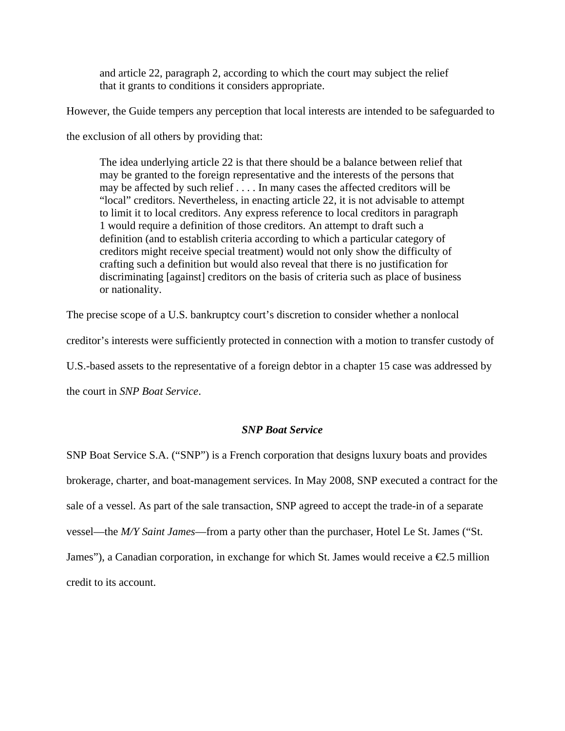and article 22, paragraph 2, according to which the court may subject the relief that it grants to conditions it considers appropriate.

However, the Guide tempers any perception that local interests are intended to be safeguarded to

the exclusion of all others by providing that:

The idea underlying article 22 is that there should be a balance between relief that may be granted to the foreign representative and the interests of the persons that may be affected by such relief . . . . In many cases the affected creditors will be "local" creditors. Nevertheless, in enacting article 22, it is not advisable to attempt to limit it to local creditors. Any express reference to local creditors in paragraph 1 would require a definition of those creditors. An attempt to draft such a definition (and to establish criteria according to which a particular category of creditors might receive special treatment) would not only show the difficulty of crafting such a definition but would also reveal that there is no justification for discriminating [against] creditors on the basis of criteria such as place of business or nationality.

The precise scope of a U.S. bankruptcy court's discretion to consider whether a nonlocal

creditor's interests were sufficiently protected in connection with a motion to transfer custody of

U.S.-based assets to the representative of a foreign debtor in a chapter 15 case was addressed by

the court in *SNP Boat Service*.

#### *SNP Boat Service*

SNP Boat Service S.A. ("SNP") is a French corporation that designs luxury boats and provides brokerage, charter, and boat-management services. In May 2008, SNP executed a contract for the sale of a vessel. As part of the sale transaction, SNP agreed to accept the trade-in of a separate vessel—the *M/Y Saint James*—from a party other than the purchaser, Hotel Le St. James ("St. James"), a Canadian corporation, in exchange for which St. James would receive a  $\epsilon$ 2.5 million credit to its account.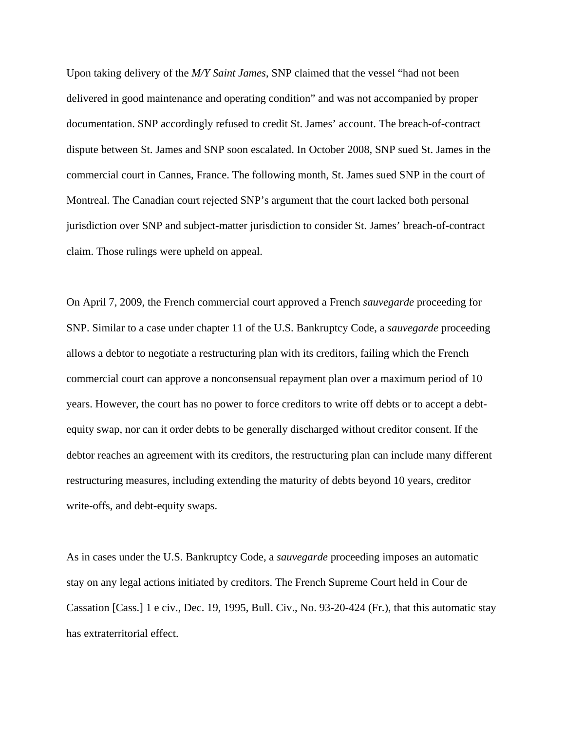Upon taking delivery of the *M/Y Saint James*, SNP claimed that the vessel "had not been delivered in good maintenance and operating condition" and was not accompanied by proper documentation. SNP accordingly refused to credit St. James' account. The breach-of-contract dispute between St. James and SNP soon escalated. In October 2008, SNP sued St. James in the commercial court in Cannes, France. The following month, St. James sued SNP in the court of Montreal. The Canadian court rejected SNP's argument that the court lacked both personal jurisdiction over SNP and subject-matter jurisdiction to consider St. James' breach-of-contract claim. Those rulings were upheld on appeal.

On April 7, 2009, the French commercial court approved a French *sauvegarde* proceeding for SNP. Similar to a case under chapter 11 of the U.S. Bankruptcy Code, a *sauvegarde* proceeding allows a debtor to negotiate a restructuring plan with its creditors, failing which the French commercial court can approve a nonconsensual repayment plan over a maximum period of 10 years. However, the court has no power to force creditors to write off debts or to accept a debtequity swap, nor can it order debts to be generally discharged without creditor consent. If the debtor reaches an agreement with its creditors, the restructuring plan can include many different restructuring measures, including extending the maturity of debts beyond 10 years, creditor write-offs, and debt-equity swaps.

As in cases under the U.S. Bankruptcy Code, a *sauvegarde* proceeding imposes an automatic stay on any legal actions initiated by creditors. The French Supreme Court held in Cour de Cassation [Cass.] 1 e civ., Dec. 19, 1995, Bull. Civ., No. 93-20-424 (Fr.), that this automatic stay has extraterritorial effect.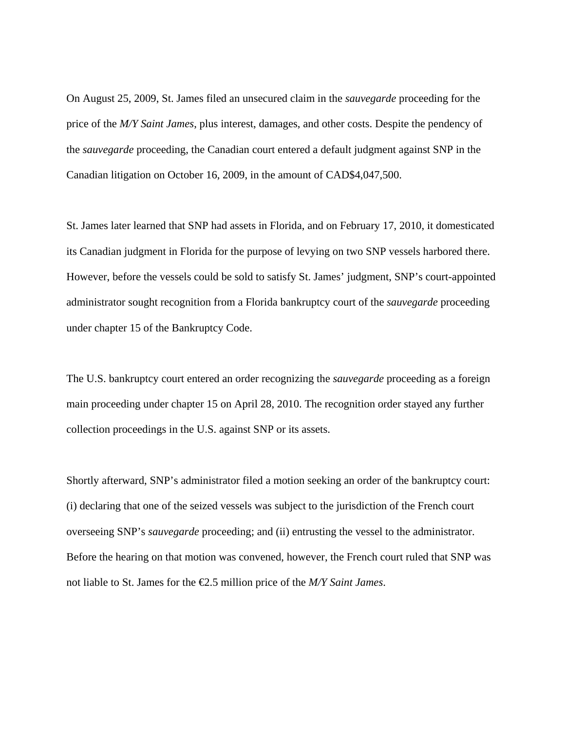On August 25, 2009, St. James filed an unsecured claim in the *sauvegarde* proceeding for the price of the *M/Y Saint James*, plus interest, damages, and other costs. Despite the pendency of the *sauvegarde* proceeding, the Canadian court entered a default judgment against SNP in the Canadian litigation on October 16, 2009, in the amount of CAD\$4,047,500.

St. James later learned that SNP had assets in Florida, and on February 17, 2010, it domesticated its Canadian judgment in Florida for the purpose of levying on two SNP vessels harbored there. However, before the vessels could be sold to satisfy St. James' judgment, SNP's court-appointed administrator sought recognition from a Florida bankruptcy court of the *sauvegarde* proceeding under chapter 15 of the Bankruptcy Code.

The U.S. bankruptcy court entered an order recognizing the *sauvegarde* proceeding as a foreign main proceeding under chapter 15 on April 28, 2010. The recognition order stayed any further collection proceedings in the U.S. against SNP or its assets.

Shortly afterward, SNP's administrator filed a motion seeking an order of the bankruptcy court: (i) declaring that one of the seized vessels was subject to the jurisdiction of the French court overseeing SNP's *sauvegarde* proceeding; and (ii) entrusting the vessel to the administrator. Before the hearing on that motion was convened, however, the French court ruled that SNP was not liable to St. James for the €2.5 million price of the *M/Y Saint James*.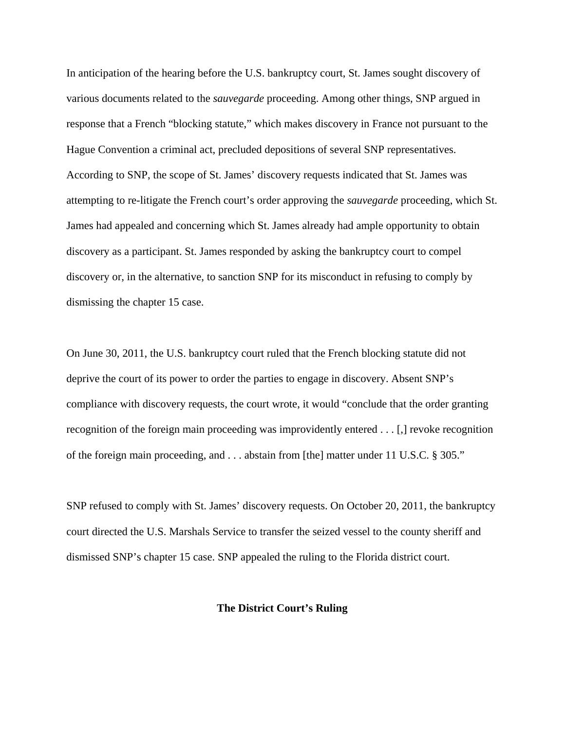In anticipation of the hearing before the U.S. bankruptcy court, St. James sought discovery of various documents related to the *sauvegarde* proceeding. Among other things, SNP argued in response that a French "blocking statute," which makes discovery in France not pursuant to the Hague Convention a criminal act, precluded depositions of several SNP representatives. According to SNP, the scope of St. James' discovery requests indicated that St. James was attempting to re-litigate the French court's order approving the *sauvegarde* proceeding, which St. James had appealed and concerning which St. James already had ample opportunity to obtain discovery as a participant. St. James responded by asking the bankruptcy court to compel discovery or, in the alternative, to sanction SNP for its misconduct in refusing to comply by dismissing the chapter 15 case.

On June 30, 2011, the U.S. bankruptcy court ruled that the French blocking statute did not deprive the court of its power to order the parties to engage in discovery. Absent SNP's compliance with discovery requests, the court wrote, it would "conclude that the order granting recognition of the foreign main proceeding was improvidently entered . . . [,] revoke recognition of the foreign main proceeding, and . . . abstain from [the] matter under 11 U.S.C. § 305."

SNP refused to comply with St. James' discovery requests. On October 20, 2011, the bankruptcy court directed the U.S. Marshals Service to transfer the seized vessel to the county sheriff and dismissed SNP's chapter 15 case. SNP appealed the ruling to the Florida district court.

## **The District Court's Ruling**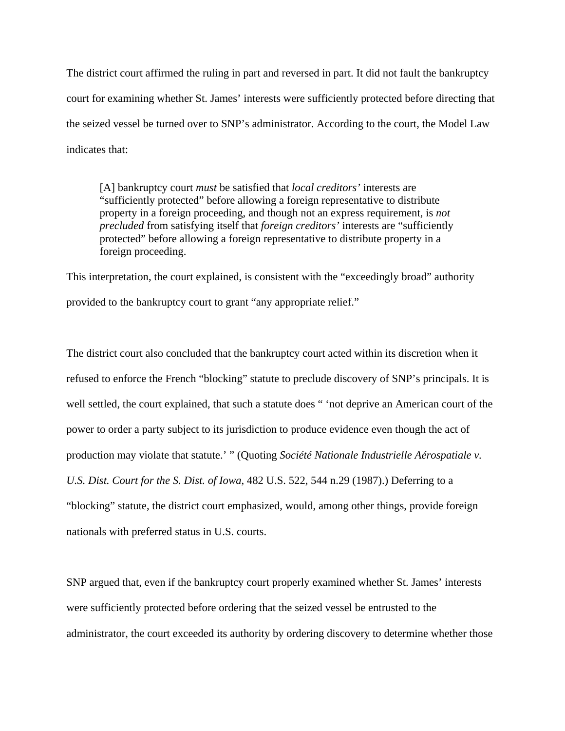The district court affirmed the ruling in part and reversed in part. It did not fault the bankruptcy court for examining whether St. James' interests were sufficiently protected before directing that the seized vessel be turned over to SNP's administrator. According to the court, the Model Law indicates that:

[A] bankruptcy court *must* be satisfied that *local creditors'* interests are "sufficiently protected" before allowing a foreign representative to distribute property in a foreign proceeding, and though not an express requirement, is *not precluded* from satisfying itself that *foreign creditors'* interests are "sufficiently protected" before allowing a foreign representative to distribute property in a foreign proceeding.

This interpretation, the court explained, is consistent with the "exceedingly broad" authority provided to the bankruptcy court to grant "any appropriate relief."

The district court also concluded that the bankruptcy court acted within its discretion when it refused to enforce the French "blocking" statute to preclude discovery of SNP's principals. It is well settled, the court explained, that such a statute does " 'not deprive an American court of the power to order a party subject to its jurisdiction to produce evidence even though the act of production may violate that statute.' " (Quoting *Société Nationale Industrielle Aérospatiale v. U.S. Dist. Court for the S. Dist. of Iowa*, 482 U.S. 522, 544 n.29 (1987).) Deferring to a "blocking" statute, the district court emphasized, would, among other things, provide foreign nationals with preferred status in U.S. courts.

SNP argued that, even if the bankruptcy court properly examined whether St. James' interests were sufficiently protected before ordering that the seized vessel be entrusted to the administrator, the court exceeded its authority by ordering discovery to determine whether those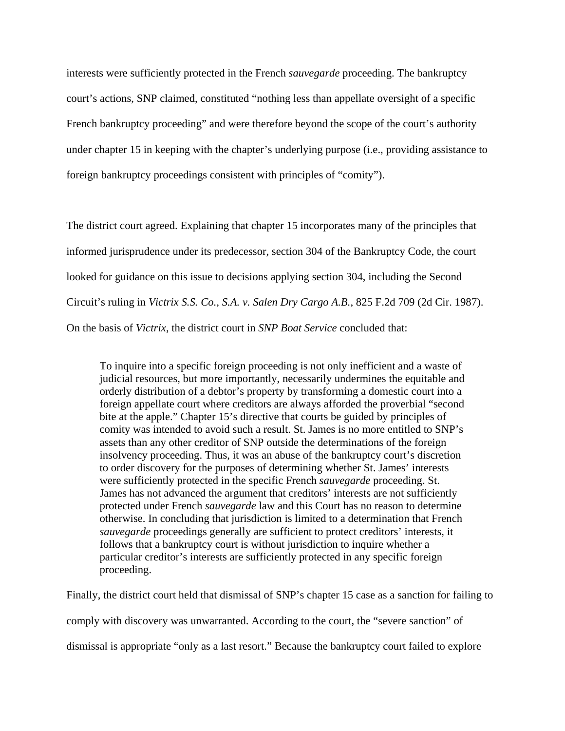interests were sufficiently protected in the French *sauvegarde* proceeding. The bankruptcy court's actions, SNP claimed, constituted "nothing less than appellate oversight of a specific French bankruptcy proceeding" and were therefore beyond the scope of the court's authority under chapter 15 in keeping with the chapter's underlying purpose (i.e., providing assistance to foreign bankruptcy proceedings consistent with principles of "comity").

The district court agreed. Explaining that chapter 15 incorporates many of the principles that informed jurisprudence under its predecessor, section 304 of the Bankruptcy Code, the court looked for guidance on this issue to decisions applying section 304, including the Second Circuit's ruling in *Victrix S.S. Co., S.A. v. Salen Dry Cargo A.B.*, 825 F.2d 709 (2d Cir. 1987). On the basis of *Victrix*, the district court in *SNP Boat Service* concluded that:

To inquire into a specific foreign proceeding is not only inefficient and a waste of judicial resources, but more importantly, necessarily undermines the equitable and orderly distribution of a debtor's property by transforming a domestic court into a foreign appellate court where creditors are always afforded the proverbial "second bite at the apple." Chapter 15's directive that courts be guided by principles of comity was intended to avoid such a result. St. James is no more entitled to SNP's assets than any other creditor of SNP outside the determinations of the foreign insolvency proceeding. Thus, it was an abuse of the bankruptcy court's discretion to order discovery for the purposes of determining whether St. James' interests were sufficiently protected in the specific French *sauvegarde* proceeding. St. James has not advanced the argument that creditors' interests are not sufficiently protected under French *sauvegarde* law and this Court has no reason to determine otherwise. In concluding that jurisdiction is limited to a determination that French *sauvegarde* proceedings generally are sufficient to protect creditors' interests, it follows that a bankruptcy court is without jurisdiction to inquire whether a particular creditor's interests are sufficiently protected in any specific foreign proceeding.

Finally, the district court held that dismissal of SNP's chapter 15 case as a sanction for failing to comply with discovery was unwarranted. According to the court, the "severe sanction" of dismissal is appropriate "only as a last resort." Because the bankruptcy court failed to explore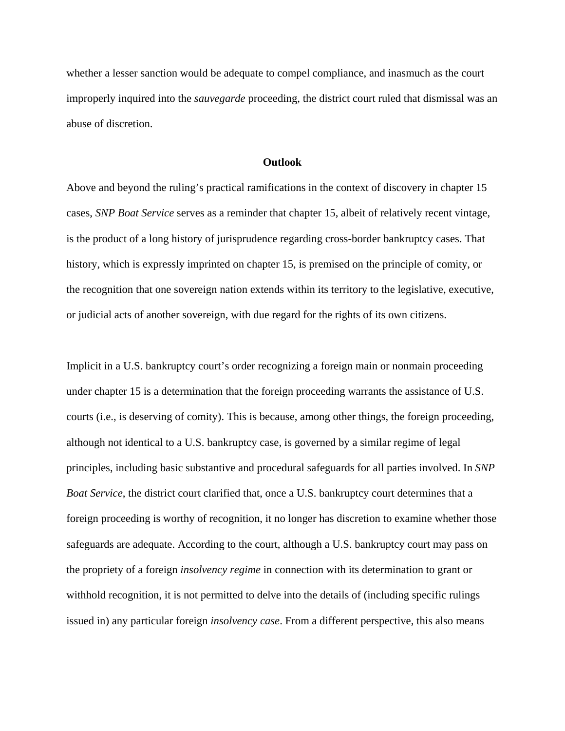whether a lesser sanction would be adequate to compel compliance, and inasmuch as the court improperly inquired into the *sauvegarde* proceeding, the district court ruled that dismissal was an abuse of discretion.

## **Outlook**

Above and beyond the ruling's practical ramifications in the context of discovery in chapter 15 cases, *SNP Boat Service* serves as a reminder that chapter 15, albeit of relatively recent vintage, is the product of a long history of jurisprudence regarding cross-border bankruptcy cases. That history, which is expressly imprinted on chapter 15, is premised on the principle of comity, or the recognition that one sovereign nation extends within its territory to the legislative, executive, or judicial acts of another sovereign, with due regard for the rights of its own citizens.

Implicit in a U.S. bankruptcy court's order recognizing a foreign main or nonmain proceeding under chapter 15 is a determination that the foreign proceeding warrants the assistance of U.S. courts (i.e., is deserving of comity). This is because, among other things, the foreign proceeding, although not identical to a U.S. bankruptcy case, is governed by a similar regime of legal principles, including basic substantive and procedural safeguards for all parties involved. In *SNP Boat Service*, the district court clarified that, once a U.S. bankruptcy court determines that a foreign proceeding is worthy of recognition, it no longer has discretion to examine whether those safeguards are adequate. According to the court, although a U.S. bankruptcy court may pass on the propriety of a foreign *insolvency regime* in connection with its determination to grant or withhold recognition, it is not permitted to delve into the details of (including specific rulings issued in) any particular foreign *insolvency case*. From a different perspective, this also means